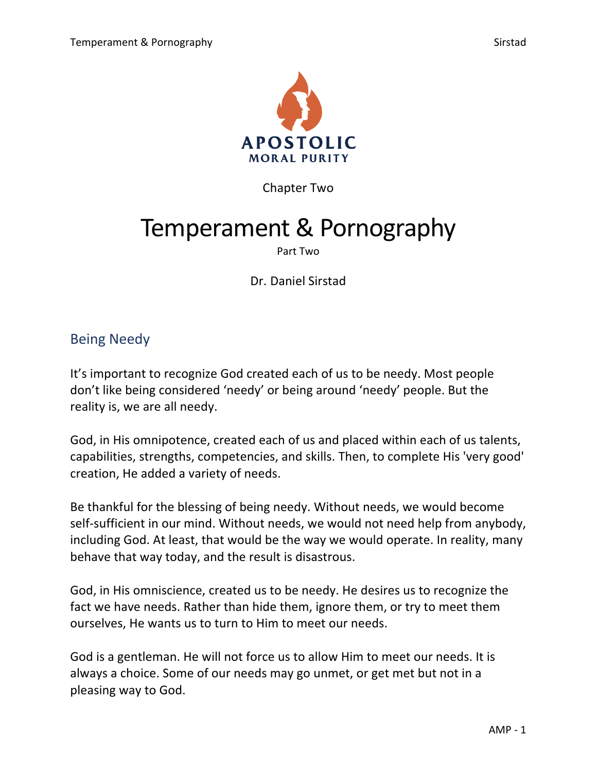

Chapter Two

# Temperament & Pornography

#### Part Two

Dr. Daniel Sirstad

# Being Needy

It's important to recognize God created each of us to be needy. Most people don't like being considered 'needy' or being around 'needy' people. But the reality is, we are all needy.

God, in His omnipotence, created each of us and placed within each of us talents, capabilities, strengths, competencies, and skills. Then, to complete His 'very good' creation, He added a variety of needs.

Be thankful for the blessing of being needy. Without needs, we would become self-sufficient in our mind. Without needs, we would not need help from anybody, including God. At least, that would be the way we would operate. In reality, many behave that way today, and the result is disastrous.

God, in His omniscience, created us to be needy. He desires us to recognize the fact we have needs. Rather than hide them, ignore them, or try to meet them ourselves, He wants us to turn to Him to meet our needs.

God is a gentleman. He will not force us to allow Him to meet our needs. It is always a choice. Some of our needs may go unmet, or get met but not in a pleasing way to God.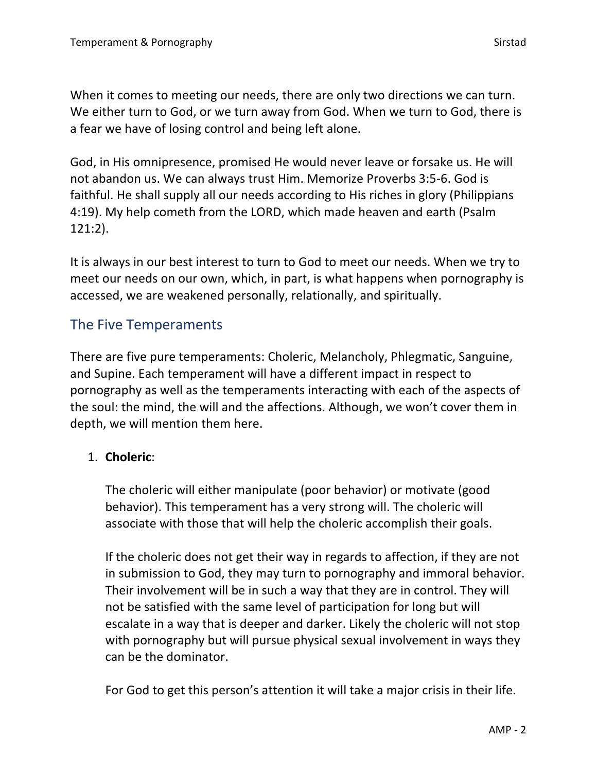God, in His omnipresence, promised He would never leave or forsake us. He will not abandon us. We can always trust Him. Memorize Proverbs 3:5-6. God is faithful. He shall supply all our needs according to His riches in glory (Philippians 4:19). My help cometh from the LORD, which made heaven and earth (Psalm 121:2).

It is always in our best interest to turn to God to meet our needs. When we try to meet our needs on our own, which, in part, is what happens when pornography is accessed, we are weakened personally, relationally, and spiritually.

# The Five Temperaments

There are five pure temperaments: Choleric, Melancholy, Phlegmatic, Sanguine, and Supine. Each temperament will have a different impact in respect to pornography as well as the temperaments interacting with each of the aspects of the soul: the mind, the will and the affections. Although, we won't cover them in depth, we will mention them here.

## 1. **Choleric**:

The choleric will either manipulate (poor behavior) or motivate (good behavior). This temperament has a very strong will. The choleric will associate with those that will help the choleric accomplish their goals.

If the choleric does not get their way in regards to affection, if they are not in submission to God, they may turn to pornography and immoral behavior. Their involvement will be in such a way that they are in control. They will not be satisfied with the same level of participation for long but will escalate in a way that is deeper and darker. Likely the choleric will not stop with pornography but will pursue physical sexual involvement in ways they can be the dominator.

For God to get this person's attention it will take a major crisis in their life.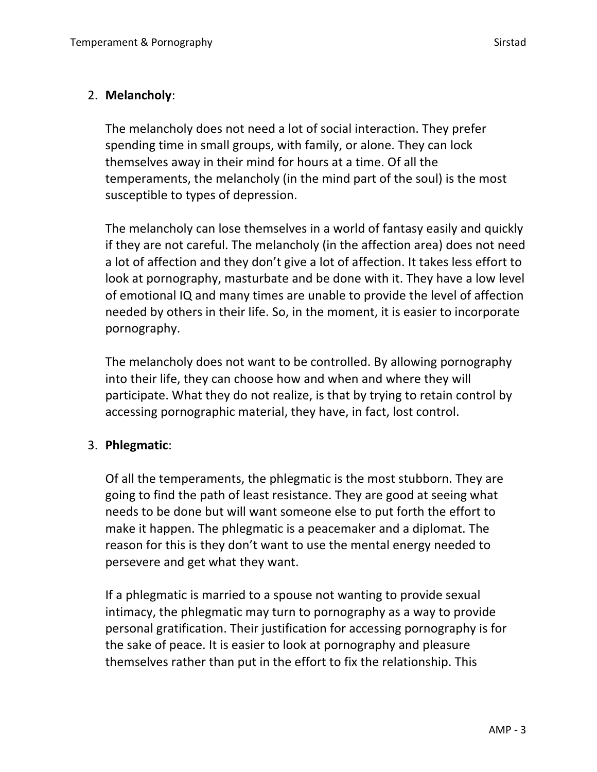## 2. **Melancholy**:

The melancholy does not need a lot of social interaction. They prefer spending time in small groups, with family, or alone. They can lock themselves away in their mind for hours at a time. Of all the temperaments, the melancholy (in the mind part of the soul) is the most susceptible to types of depression.

The melancholy can lose themselves in a world of fantasy easily and quickly if they are not careful. The melancholy (in the affection area) does not need a lot of affection and they don't give a lot of affection. It takes less effort to look at pornography, masturbate and be done with it. They have a low level of emotional IQ and many times are unable to provide the level of affection needed by others in their life. So, in the moment, it is easier to incorporate pornography.

The melancholy does not want to be controlled. By allowing pornography into their life, they can choose how and when and where they will participate. What they do not realize, is that by trying to retain control by accessing pornographic material, they have, in fact, lost control.

## 3. **Phlegmatic**:

Of all the temperaments, the phlegmatic is the most stubborn. They are going to find the path of least resistance. They are good at seeing what needs to be done but will want someone else to put forth the effort to make it happen. The phlegmatic is a peacemaker and a diplomat. The reason for this is they don't want to use the mental energy needed to persevere and get what they want.

If a phlegmatic is married to a spouse not wanting to provide sexual intimacy, the phlegmatic may turn to pornography as a way to provide personal gratification. Their justification for accessing pornography is for the sake of peace. It is easier to look at pornography and pleasure themselves rather than put in the effort to fix the relationship. This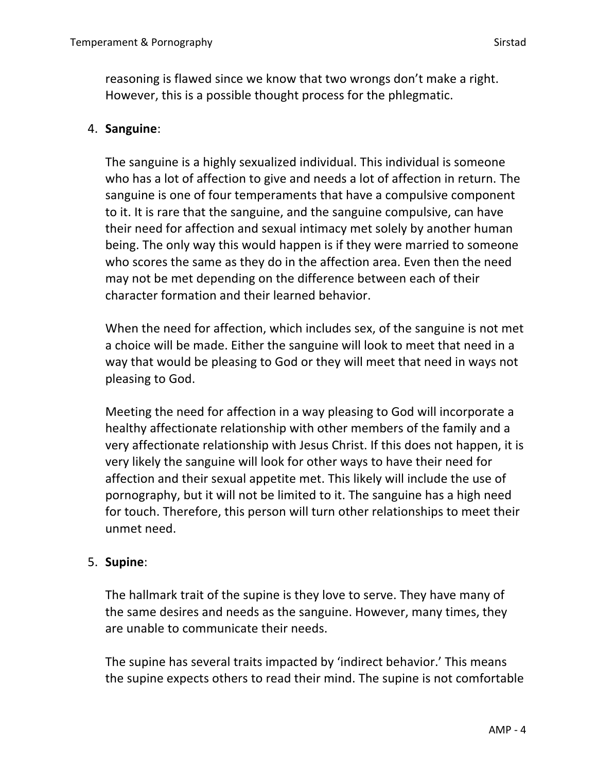reasoning is flawed since we know that two wrongs don't make a right. However, this is a possible thought process for the phlegmatic.

#### 4. **Sanguine**:

The sanguine is a highly sexualized individual. This individual is someone who has a lot of affection to give and needs a lot of affection in return. The sanguine is one of four temperaments that have a compulsive component to it. It is rare that the sanguine, and the sanguine compulsive, can have their need for affection and sexual intimacy met solely by another human being. The only way this would happen is if they were married to someone who scores the same as they do in the affection area. Even then the need may not be met depending on the difference between each of their character formation and their learned behavior.

When the need for affection, which includes sex, of the sanguine is not met a choice will be made. Either the sanguine will look to meet that need in a way that would be pleasing to God or they will meet that need in ways not pleasing to God.

Meeting the need for affection in a way pleasing to God will incorporate a healthy affectionate relationship with other members of the family and a very affectionate relationship with Jesus Christ. If this does not happen, it is very likely the sanguine will look for other ways to have their need for affection and their sexual appetite met. This likely will include the use of pornography, but it will not be limited to it. The sanguine has a high need for touch. Therefore, this person will turn other relationships to meet their unmet need.

#### 5. **Supine**:

The hallmark trait of the supine is they love to serve. They have many of the same desires and needs as the sanguine. However, many times, they are unable to communicate their needs.

The supine has several traits impacted by 'indirect behavior.' This means the supine expects others to read their mind. The supine is not comfortable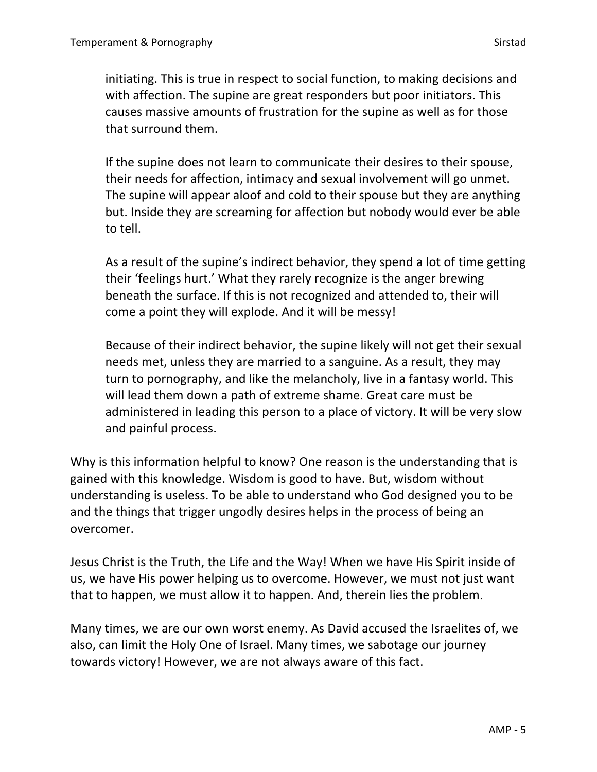initiating. This is true in respect to social function, to making decisions and with affection. The supine are great responders but poor initiators. This causes massive amounts of frustration for the supine as well as for those that surround them.

If the supine does not learn to communicate their desires to their spouse, their needs for affection, intimacy and sexual involvement will go unmet. The supine will appear aloof and cold to their spouse but they are anything but. Inside they are screaming for affection but nobody would ever be able to tell.

As a result of the supine's indirect behavior, they spend a lot of time getting their 'feelings hurt.' What they rarely recognize is the anger brewing beneath the surface. If this is not recognized and attended to, their will come a point they will explode. And it will be messy!

Because of their indirect behavior, the supine likely will not get their sexual needs met, unless they are married to a sanguine. As a result, they may turn to pornography, and like the melancholy, live in a fantasy world. This will lead them down a path of extreme shame. Great care must be administered in leading this person to a place of victory. It will be very slow and painful process.

Why is this information helpful to know? One reason is the understanding that is gained with this knowledge. Wisdom is good to have. But, wisdom without understanding is useless. To be able to understand who God designed you to be and the things that trigger ungodly desires helps in the process of being an overcomer.

Jesus Christ is the Truth, the Life and the Way! When we have His Spirit inside of us, we have His power helping us to overcome. However, we must not just want that to happen, we must allow it to happen. And, therein lies the problem.

Many times, we are our own worst enemy. As David accused the Israelites of, we also, can limit the Holy One of Israel. Many times, we sabotage our journey towards victory! However, we are not always aware of this fact.